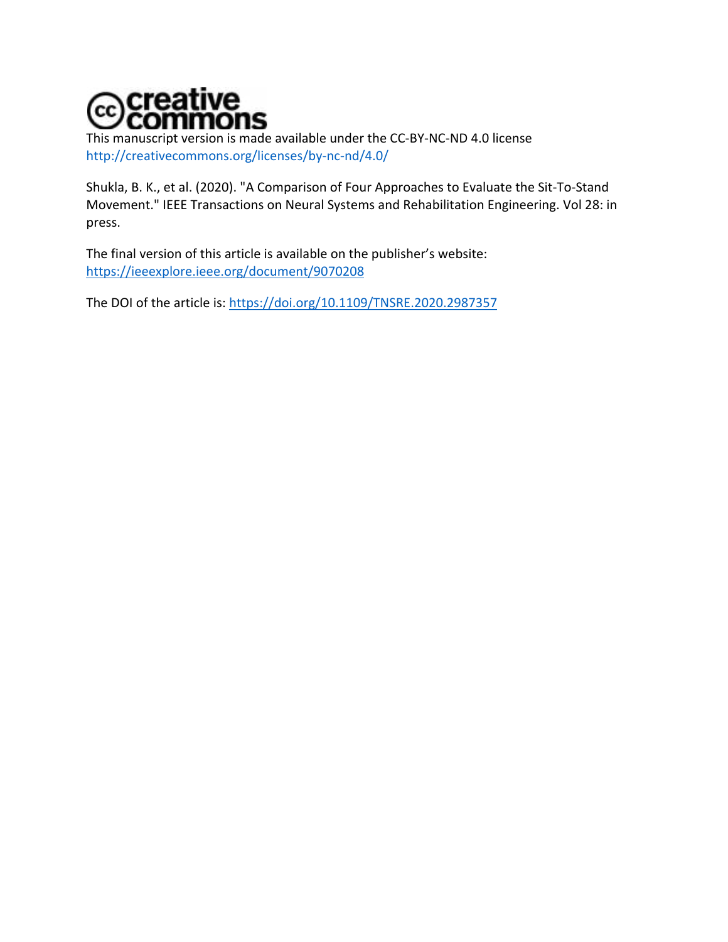

This manuscript version is made available under the CC-BY-NC-ND 4.0 license http://creativecommons.org/licenses/by-nc-nd/4.0/

Shukla, B. K., et al. (2020). "A Comparison of Four Approaches to Evaluate the Sit-To-Stand Movement." IEEE Transactions on Neural Systems and Rehabilitation Engineering. Vol 28: in press.

The final version of this article is available on the publisher's website: https://ieeexplore.ieee.org/document/9070208

The DOI of the article is: https://doi.org/10.1109/TNSRE.2020.2987357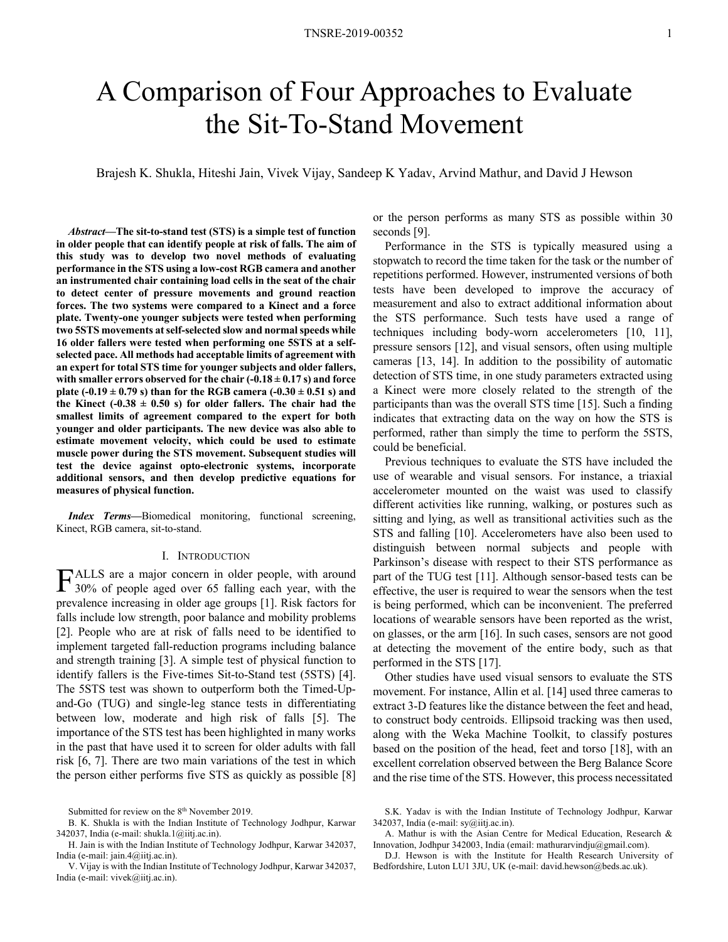# A Comparison of Four Approaches to Evaluate the Sit-To-Stand Movement

Brajesh K. Shukla, Hiteshi Jain, Vivek Vijay, Sandeep K Yadav, Arvind Mathur, and David J Hewson

*Abstract***—The sit-to-stand test (STS) is a simple test of function in older people that can identify people at risk of falls. The aim of this study was to develop two novel methods of evaluating performance in the STS using a low-cost RGB camera and another an instrumented chair containing load cells in the seat of the chair to detect center of pressure movements and ground reaction forces. The two systems were compared to a Kinect and a force plate. Twenty-one younger subjects were tested when performing two 5STS movements at self-selected slow and normal speeds while 16 older fallers were tested when performing one 5STS at a selfselected pace. All methods had acceptable limits of agreement with an expert for total STS time for younger subjects and older fallers,**  with smaller errors observed for the chair  $(-0.18 \pm 0.17 \text{ s})$  and force **plate (-0.19 ± 0.79 s) than for the RGB camera (-0.30 ± 0.51 s) and**  the Kinect (- $0.38 \pm 0.50$  s) for older fallers. The chair had the **smallest limits of agreement compared to the expert for both younger and older participants. The new device was also able to estimate movement velocity, which could be used to estimate muscle power during the STS movement. Subsequent studies will test the device against opto-electronic systems, incorporate additional sensors, and then develop predictive equations for measures of physical function.** 

*Index Terms***—**Biomedical monitoring, functional screening, Kinect, RGB camera, sit-to-stand.

#### I. INTRODUCTION

ALLS are a major concern in older people, with around FALLS are a major concern in older people, with around<br>30% of people aged over 65 falling each year, with the prevalence increasing in older age groups [1]. Risk factors for falls include low strength, poor balance and mobility problems [2]. People who are at risk of falls need to be identified to implement targeted fall-reduction programs including balance and strength training [3]. A simple test of physical function to identify fallers is the Five-times Sit-to-Stand test (5STS) [4]. The 5STS test was shown to outperform both the Timed-Upand-Go (TUG) and single-leg stance tests in differentiating between low, moderate and high risk of falls [5]. The importance of the STS test has been highlighted in many works in the past that have used it to screen for older adults with fall risk [6, 7]. There are two main variations of the test in which the person either performs five STS as quickly as possible [8]

or the person performs as many STS as possible within 30 seconds [9].

Performance in the STS is typically measured using a stopwatch to record the time taken for the task or the number of repetitions performed. However, instrumented versions of both tests have been developed to improve the accuracy of measurement and also to extract additional information about the STS performance. Such tests have used a range of techniques including body-worn accelerometers [10, 11], pressure sensors [12], and visual sensors, often using multiple cameras [13, 14]. In addition to the possibility of automatic detection of STS time, in one study parameters extracted using a Kinect were more closely related to the strength of the participants than was the overall STS time [15]. Such a finding indicates that extracting data on the way on how the STS is performed, rather than simply the time to perform the 5STS, could be beneficial.

Previous techniques to evaluate the STS have included the use of wearable and visual sensors. For instance, a triaxial accelerometer mounted on the waist was used to classify different activities like running, walking, or postures such as sitting and lying, as well as transitional activities such as the STS and falling [10]. Accelerometers have also been used to distinguish between normal subjects and people with Parkinson's disease with respect to their STS performance as part of the TUG test [11]. Although sensor-based tests can be effective, the user is required to wear the sensors when the test is being performed, which can be inconvenient. The preferred locations of wearable sensors have been reported as the wrist, on glasses, or the arm [16]. In such cases, sensors are not good at detecting the movement of the entire body, such as that performed in the STS [17].

Other studies have used visual sensors to evaluate the STS movement. For instance, Allin et al. [14] used three cameras to extract 3-D features like the distance between the feet and head, to construct body centroids. Ellipsoid tracking was then used, along with the Weka Machine Toolkit, to classify postures based on the position of the head, feet and torso [18], with an excellent correlation observed between the Berg Balance Score and the rise time of the STS. However, this process necessitated

Submitted for review on the 8<sup>th</sup> November 2019.

B. K. Shukla is with the Indian Institute of Technology Jodhpur, Karwar 342037, India (e-mail: shukla.1@iitj.ac.in).

H. Jain is with the Indian Institute of Technology Jodhpur, Karwar 342037, India (e-mail: jain.4@iitj.ac.in).

V. Vijay is with the Indian Institute of Technology Jodhpur, Karwar 342037, India (e-mail: vivek@iitj.ac.in).

S.K. Yadav is with the Indian Institute of Technology Jodhpur, Karwar 342037, India (e-mail: sy@iitj.ac.in).

A. Mathur is with the Asian Centre for Medical Education, Research & Innovation, Jodhpur 342003, India (email: mathurarvindju@gmail.com).

D.J. Hewson is with the Institute for Health Research University of Bedfordshire, Luton LU1 3JU, UK (e-mail: david.hewson@beds.ac.uk).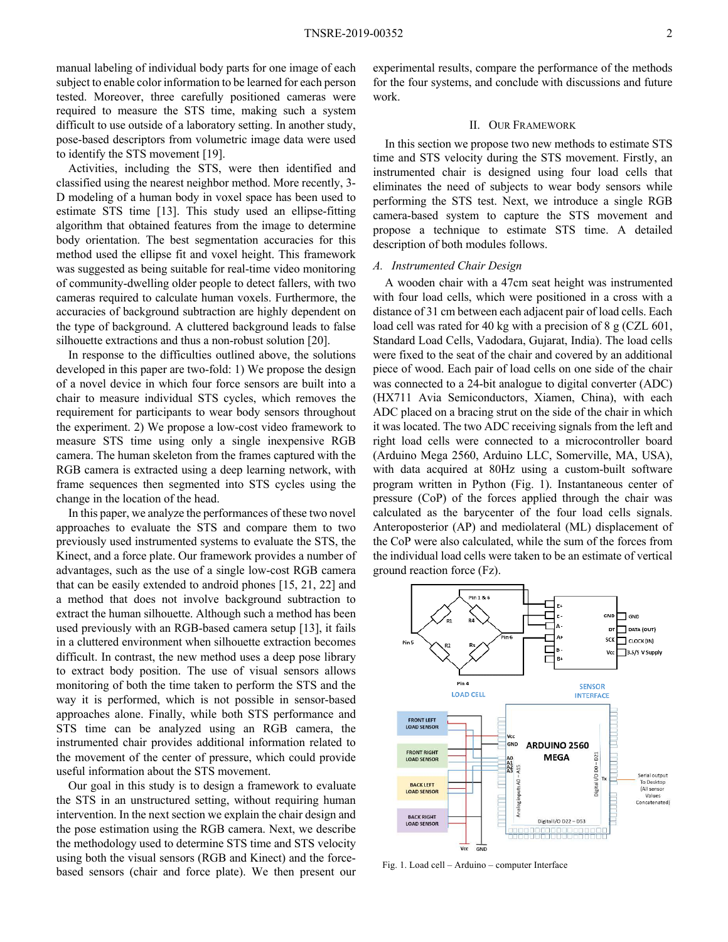manual labeling of individual body parts for one image of each subject to enable color information to be learned for each person tested. Moreover, three carefully positioned cameras were required to measure the STS time, making such a system difficult to use outside of a laboratory setting. In another study, pose-based descriptors from volumetric image data were used to identify the STS movement [19].

Activities, including the STS, were then identified and classified using the nearest neighbor method. More recently, 3- D modeling of a human body in voxel space has been used to estimate STS time [13]. This study used an ellipse-fitting algorithm that obtained features from the image to determine body orientation. The best segmentation accuracies for this method used the ellipse fit and voxel height. This framework was suggested as being suitable for real-time video monitoring of community-dwelling older people to detect fallers, with two cameras required to calculate human voxels. Furthermore, the accuracies of background subtraction are highly dependent on the type of background. A cluttered background leads to false silhouette extractions and thus a non-robust solution [20].

In response to the difficulties outlined above, the solutions developed in this paper are two-fold: 1) We propose the design of a novel device in which four force sensors are built into a chair to measure individual STS cycles, which removes the requirement for participants to wear body sensors throughout the experiment. 2) We propose a low-cost video framework to measure STS time using only a single inexpensive RGB camera. The human skeleton from the frames captured with the RGB camera is extracted using a deep learning network, with frame sequences then segmented into STS cycles using the change in the location of the head.

In this paper, we analyze the performances of these two novel approaches to evaluate the STS and compare them to two previously used instrumented systems to evaluate the STS, the Kinect, and a force plate. Our framework provides a number of advantages, such as the use of a single low-cost RGB camera that can be easily extended to android phones [15, 21, 22] and a method that does not involve background subtraction to extract the human silhouette. Although such a method has been used previously with an RGB-based camera setup [13], it fails in a cluttered environment when silhouette extraction becomes difficult. In contrast, the new method uses a deep pose library to extract body position. The use of visual sensors allows monitoring of both the time taken to perform the STS and the way it is performed, which is not possible in sensor-based approaches alone. Finally, while both STS performance and STS time can be analyzed using an RGB camera, the instrumented chair provides additional information related to the movement of the center of pressure, which could provide useful information about the STS movement.

Our goal in this study is to design a framework to evaluate the STS in an unstructured setting, without requiring human intervention. In the next section we explain the chair design and the pose estimation using the RGB camera. Next, we describe the methodology used to determine STS time and STS velocity using both the visual sensors (RGB and Kinect) and the forcebased sensors (chair and force plate). We then present our

experimental results, compare the performance of the methods for the four systems, and conclude with discussions and future work.

#### II. OUR FRAMEWORK

In this section we propose two new methods to estimate STS time and STS velocity during the STS movement. Firstly, an instrumented chair is designed using four load cells that eliminates the need of subjects to wear body sensors while performing the STS test. Next, we introduce a single RGB camera-based system to capture the STS movement and propose a technique to estimate STS time. A detailed description of both modules follows.

#### *A. Instrumented Chair Design*

A wooden chair with a 47cm seat height was instrumented with four load cells, which were positioned in a cross with a distance of 31 cm between each adjacent pair of load cells. Each load cell was rated for 40 kg with a precision of 8 g (CZL 601, Standard Load Cells, Vadodara, Gujarat, India). The load cells were fixed to the seat of the chair and covered by an additional piece of wood. Each pair of load cells on one side of the chair was connected to a 24-bit analogue to digital converter (ADC) (HX711 Avia Semiconductors, Xiamen, China), with each ADC placed on a bracing strut on the side of the chair in which it was located. The two ADC receiving signals from the left and right load cells were connected to a microcontroller board (Arduino Mega 2560, Arduino LLC, Somerville, MA, USA), with data acquired at 80Hz using a custom-built software program written in Python (Fig. 1). Instantaneous center of pressure (CoP) of the forces applied through the chair was calculated as the barycenter of the four load cells signals. Anteroposterior (AP) and mediolateral (ML) displacement of the CoP were also calculated, while the sum of the forces from the individual load cells were taken to be an estimate of vertical ground reaction force (Fz).



Fig. 1. Load cell – Arduino – computer Interface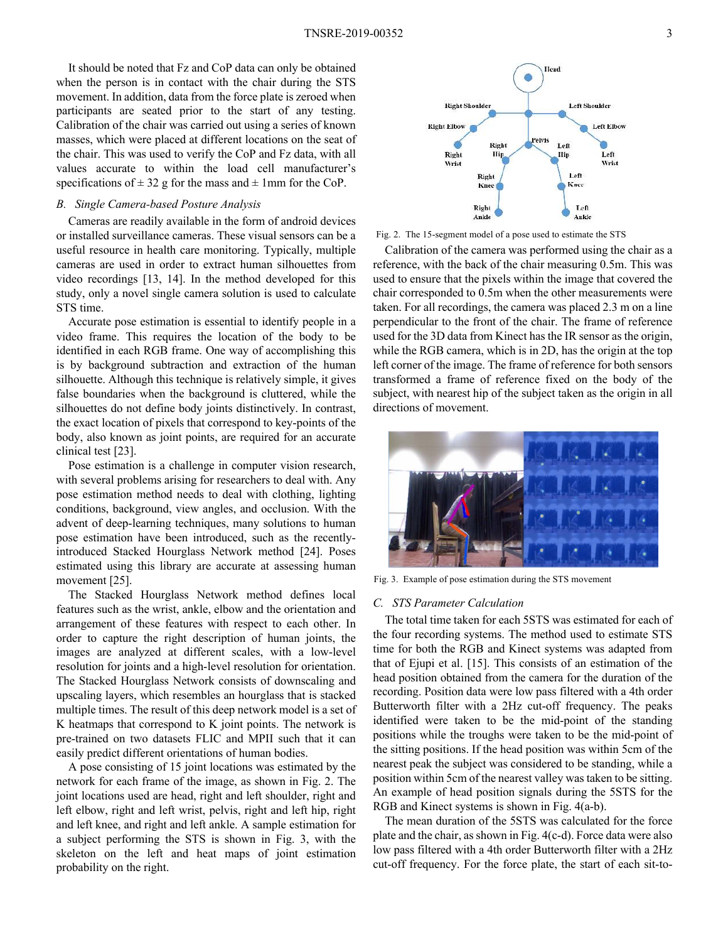It should be noted that Fz and CoP data can only be obtained when the person is in contact with the chair during the STS movement. In addition, data from the force plate is zeroed when participants are seated prior to the start of any testing. Calibration of the chair was carried out using a series of known masses, which were placed at different locations on the seat of the chair. This was used to verify the CoP and Fz data, with all values accurate to within the load cell manufacturer's specifications of  $\pm$  32 g for the mass and  $\pm$  1mm for the CoP.

## *B. Single Camera-based Posture Analysis*

Cameras are readily available in the form of android devices or installed surveillance cameras. These visual sensors can be a useful resource in health care monitoring. Typically, multiple cameras are used in order to extract human silhouettes from video recordings [13, 14]. In the method developed for this study, only a novel single camera solution is used to calculate STS time.

Accurate pose estimation is essential to identify people in a video frame. This requires the location of the body to be identified in each RGB frame. One way of accomplishing this is by background subtraction and extraction of the human silhouette. Although this technique is relatively simple, it gives false boundaries when the background is cluttered, while the silhouettes do not define body joints distinctively. In contrast, the exact location of pixels that correspond to key-points of the body, also known as joint points, are required for an accurate clinical test [23].

Pose estimation is a challenge in computer vision research, with several problems arising for researchers to deal with. Any pose estimation method needs to deal with clothing, lighting conditions, background, view angles, and occlusion. With the advent of deep-learning techniques, many solutions to human pose estimation have been introduced, such as the recentlyintroduced Stacked Hourglass Network method [24]. Poses estimated using this library are accurate at assessing human movement [25].

The Stacked Hourglass Network method defines local features such as the wrist, ankle, elbow and the orientation and arrangement of these features with respect to each other. In order to capture the right description of human joints, the images are analyzed at different scales, with a low-level resolution for joints and a high-level resolution for orientation. The Stacked Hourglass Network consists of downscaling and upscaling layers, which resembles an hourglass that is stacked multiple times. The result of this deep network model is a set of K heatmaps that correspond to K joint points. The network is pre-trained on two datasets FLIC and MPII such that it can easily predict different orientations of human bodies.

A pose consisting of 15 joint locations was estimated by the network for each frame of the image, as shown in Fig. 2. The joint locations used are head, right and left shoulder, right and left elbow, right and left wrist, pelvis, right and left hip, right and left knee, and right and left ankle. A sample estimation for a subject performing the STS is shown in Fig. 3, with the skeleton on the left and heat maps of joint estimation probability on the right.



Fig. 2. The 15-segment model of a pose used to estimate the STS

Calibration of the camera was performed using the chair as a reference, with the back of the chair measuring 0.5m. This was used to ensure that the pixels within the image that covered the chair corresponded to 0.5m when the other measurements were taken. For all recordings, the camera was placed 2.3 m on a line perpendicular to the front of the chair. The frame of reference used for the 3D data from Kinect has the IR sensor as the origin, while the RGB camera, which is in 2D, has the origin at the top left corner of the image. The frame of reference for both sensors transformed a frame of reference fixed on the body of the subject, with nearest hip of the subject taken as the origin in all directions of movement.



Fig. 3. Example of pose estimation during the STS movement

#### *C. STS Parameter Calculation*

The total time taken for each 5STS was estimated for each of the four recording systems. The method used to estimate STS time for both the RGB and Kinect systems was adapted from that of Ejupi et al. [15]. This consists of an estimation of the head position obtained from the camera for the duration of the recording. Position data were low pass filtered with a 4th order Butterworth filter with a 2Hz cut-off frequency. The peaks identified were taken to be the mid-point of the standing positions while the troughs were taken to be the mid-point of the sitting positions. If the head position was within 5cm of the nearest peak the subject was considered to be standing, while a position within 5cm of the nearest valley was taken to be sitting. An example of head position signals during the 5STS for the RGB and Kinect systems is shown in Fig. 4(a-b).

The mean duration of the 5STS was calculated for the force plate and the chair, as shown in Fig. 4(c-d). Force data were also low pass filtered with a 4th order Butterworth filter with a 2Hz cut-off frequency. For the force plate, the start of each sit-to-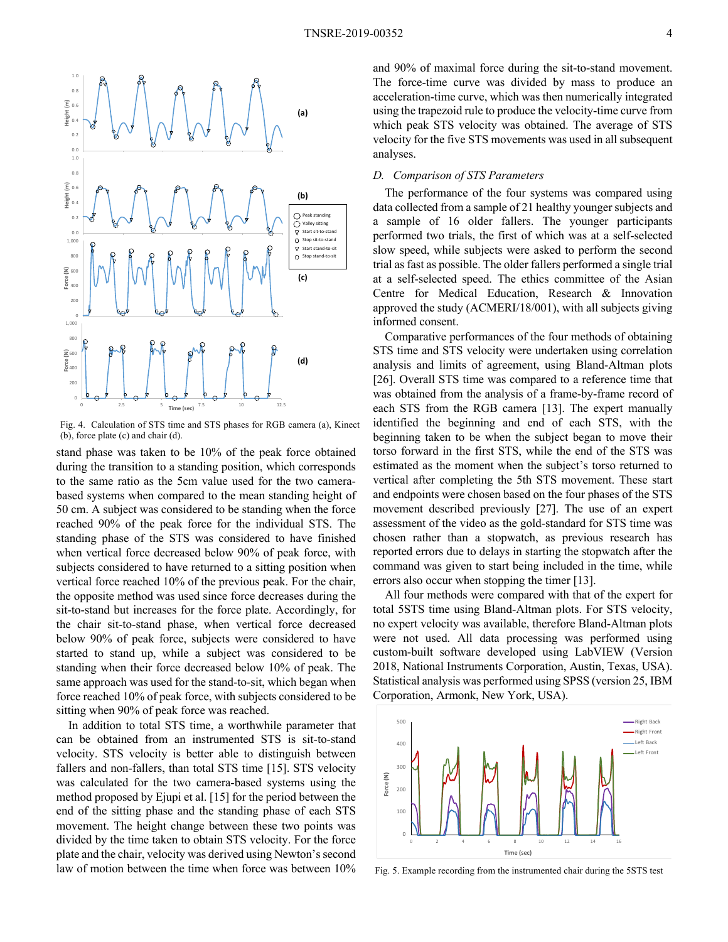

Fig. 4. Calculation of STS time and STS phases for RGB camera (a), Kinect (b), force plate (c) and chair (d).

stand phase was taken to be 10% of the peak force obtained during the transition to a standing position, which corresponds to the same ratio as the 5cm value used for the two camerabased systems when compared to the mean standing height of 50 cm. A subject was considered to be standing when the force reached 90% of the peak force for the individual STS. The standing phase of the STS was considered to have finished when vertical force decreased below 90% of peak force, with subjects considered to have returned to a sitting position when vertical force reached 10% of the previous peak. For the chair, the opposite method was used since force decreases during the sit-to-stand but increases for the force plate. Accordingly, for the chair sit-to-stand phase, when vertical force decreased below 90% of peak force, subjects were considered to have started to stand up, while a subject was considered to be standing when their force decreased below 10% of peak. The same approach was used for the stand-to-sit, which began when force reached 10% of peak force, with subjects considered to be sitting when 90% of peak force was reached.

In addition to total STS time, a worthwhile parameter that can be obtained from an instrumented STS is sit-to-stand velocity. STS velocity is better able to distinguish between fallers and non-fallers, than total STS time [15]. STS velocity was calculated for the two camera-based systems using the method proposed by Ejupi et al. [15] for the period between the end of the sitting phase and the standing phase of each STS movement. The height change between these two points was divided by the time taken to obtain STS velocity. For the force plate and the chair, velocity was derived using Newton's second law of motion between the time when force was between 10% and 90% of maximal force during the sit-to-stand movement. The force-time curve was divided by mass to produce an acceleration-time curve, which was then numerically integrated using the trapezoid rule to produce the velocity-time curve from which peak STS velocity was obtained. The average of STS velocity for the five STS movements was used in all subsequent analyses.

## *D. Comparison of STS Parameters*

The performance of the four systems was compared using data collected from a sample of 21 healthy younger subjects and a sample of 16 older fallers. The younger participants performed two trials, the first of which was at a self-selected slow speed, while subjects were asked to perform the second trial as fast as possible. The older fallers performed a single trial at a self-selected speed. The ethics committee of the Asian Centre for Medical Education, Research & Innovation approved the study (ACMERI/18/001), with all subjects giving informed consent.

Comparative performances of the four methods of obtaining STS time and STS velocity were undertaken using correlation analysis and limits of agreement, using Bland-Altman plots [26]. Overall STS time was compared to a reference time that was obtained from the analysis of a frame-by-frame record of each STS from the RGB camera [13]. The expert manually identified the beginning and end of each STS, with the beginning taken to be when the subject began to move their torso forward in the first STS, while the end of the STS was estimated as the moment when the subject's torso returned to vertical after completing the 5th STS movement. These start and endpoints were chosen based on the four phases of the STS movement described previously [27]. The use of an expert assessment of the video as the gold-standard for STS time was chosen rather than a stopwatch, as previous research has reported errors due to delays in starting the stopwatch after the command was given to start being included in the time, while errors also occur when stopping the timer [13].

All four methods were compared with that of the expert for total 5STS time using Bland-Altman plots. For STS velocity, no expert velocity was available, therefore Bland-Altman plots were not used. All data processing was performed using custom-built software developed using LabVIEW (Version 2018, National Instruments Corporation, Austin, Texas, USA). Statistical analysis was performed using SPSS (version 25, IBM Corporation, Armonk, New York, USA).



Fig. 5. Example recording from the instrumented chair during the 5STS test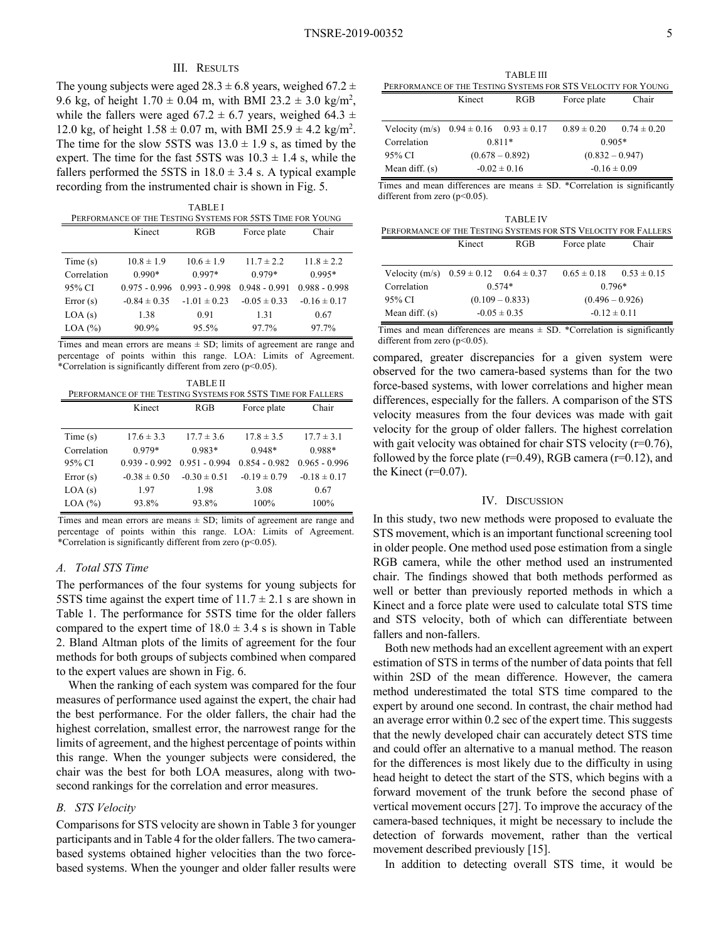### III. RESULTS

The young subjects were aged  $28.3 \pm 6.8$  years, weighed 67.2  $\pm$ 9.6 kg, of height  $1.70 \pm 0.04$  m, with BMI 23.2  $\pm$  3.0 kg/m<sup>2</sup>, while the fallers were aged 67.2  $\pm$  6.7 years, weighed 64.3  $\pm$ 12.0 kg, of height  $1.58 \pm 0.07$  m, with BMI 25.9  $\pm$  4.2 kg/m<sup>2</sup>. The time for the slow 5STS was  $13.0 \pm 1.9$  s, as timed by the expert. The time for the fast 5STS was  $10.3 \pm 1.4$  s, while the fallers performed the 5STS in  $18.0 \pm 3.4$  s. A typical example recording from the instrumented chair is shown in Fig. 5.

| <b>TABLEI</b>                                              |                  |                  |                  |                  |
|------------------------------------------------------------|------------------|------------------|------------------|------------------|
| PERFORMANCE OF THE TESTING SYSTEMS FOR 5STS TIME FOR YOUNG |                  |                  |                  |                  |
|                                                            | Kinect           | RGB              | Force plate      | Chair            |
|                                                            |                  |                  |                  |                  |
| Time(s)                                                    | $10.8 \pm 1.9$   | $10.6 \pm 1.9$   | $11.7 \pm 2.2$   | $11.8 \pm 2.2$   |
| Correlation                                                | $0.990*$         | $0.997*$         | $0.979*$         | $0.995*$         |
| 95% CI                                                     | $0.975 - 0.996$  | $0.993 - 0.998$  | $0.948 - 0.991$  | $0.988 - 0.998$  |
| Error(s)                                                   | $-0.84 \pm 0.35$ | $-1.01 \pm 0.23$ | $-0.05 \pm 0.33$ | $-0.16 \pm 0.17$ |
| LOA(s)                                                     | 1.38             | 0.91             | 1.31             | 0.67             |
| $LOA$ $(\% )$                                              | 90.9%            | 95.5%            | 97.7%            | 97.7%            |

Times and mean errors are means  $\pm$  SD; limits of agreement are range and percentage of points within this range. LOA: Limits of Agreement. \*Correlation is significantly different from zero (p<0.05).

| <b>TABLE II</b><br>PERFORMANCE OF THE TESTING SYSTEMS FOR 5STS TIME FOR FALLERS |                  |                  |                  |                  |
|---------------------------------------------------------------------------------|------------------|------------------|------------------|------------------|
|                                                                                 | Kinect           | RGB              | Force plate      | Chair            |
|                                                                                 |                  |                  |                  |                  |
| Time(s)                                                                         | $17.6 \pm 3.3$   | $17.7 \pm 3.6$   | $17.8 \pm 3.5$   | $17.7 \pm 3.1$   |
| Correlation                                                                     | $0.979*$         | $0.983*$         | $0.948*$         | $0.988*$         |
| 95% CI                                                                          | $0.939 - 0.992$  | $0.951 - 0.994$  | $0.854 - 0.982$  | $0.965 - 0.996$  |
| Error(s)                                                                        | $-0.38 \pm 0.50$ | $-0.30 \pm 0.51$ | $-0.19 \pm 0.79$ | $-0.18 \pm 0.17$ |
| LOA(s)                                                                          | 1.97             | 1.98             | 3.08             | 0.67             |
| $LOA$ $(\% )$                                                                   | 93.8%            | 93.8%            | 100%             | 100%             |

Times and mean errors are means  $\pm$  SD; limits of agreement are range and percentage of points within this range. LOA: Limits of Agreement. \*Correlation is significantly different from zero (p<0.05).

## *A. Total STS Time*

The performances of the four systems for young subjects for 5STS time against the expert time of  $11.7 \pm 2.1$  s are shown in Table 1. The performance for 5STS time for the older fallers compared to the expert time of  $18.0 \pm 3.4$  s is shown in Table 2. Bland Altman plots of the limits of agreement for the four methods for both groups of subjects combined when compared to the expert values are shown in Fig. 6.

When the ranking of each system was compared for the four measures of performance used against the expert, the chair had the best performance. For the older fallers, the chair had the highest correlation, smallest error, the narrowest range for the limits of agreement, and the highest percentage of points within this range. When the younger subjects were considered, the chair was the best for both LOA measures, along with twosecond rankings for the correlation and error measures.

## *B. STS Velocity*

Comparisons for STS velocity are shown in Table 3 for younger participants and in Table 4 for the older fallers. The two camerabased systems obtained higher velocities than the two forcebased systems. When the younger and older faller results were

TABLE III PERFORMANCE OF THE TESTING SYSTEMS FOR STS VELOCITY FOR YOUNG Kinect RGB Force plate Chair

| Velocity (m/s) $0.94 \pm 0.16$ $0.93 \pm 0.17$ |                   |  | $0.89 \pm 0.20$ $0.74 \pm 0.20$ |  |
|------------------------------------------------|-------------------|--|---------------------------------|--|
| Correlation                                    | $0.811*$          |  | $0.905*$                        |  |
| 95% CI                                         | $(0.678 - 0.892)$ |  | $(0.832 - 0.947)$               |  |
| Mean diff. $(s)$                               | $-0.02 \pm 0.16$  |  | $-0.16 \pm 0.09$                |  |

Times and mean differences are means  $\pm$  SD. \*Correlation is significantly different from zero (p<0.05).

| <b>TABLE IV</b>                                                 |                   |     |                   |                 |
|-----------------------------------------------------------------|-------------------|-----|-------------------|-----------------|
| PERFORMANCE OF THE TESTING SYSTEMS FOR STS VELOCITY FOR FALLERS |                   |     |                   |                 |
|                                                                 | Kinect            | RGB | Force plate       | Chair           |
|                                                                 |                   |     |                   |                 |
| Velocity (m/s) $0.59 \pm 0.12$ $0.64 \pm 0.37$                  |                   |     | $0.65 \pm 0.18$   | $0.53 \pm 0.15$ |
| Correlation                                                     | $0.574*$          |     | $0.796*$          |                 |
| 95% CI                                                          | $(0.109 - 0.833)$ |     | $(0.496 - 0.926)$ |                 |
| Mean diff. $(s)$                                                | $-0.05 \pm 0.35$  |     | $-0.12 \pm 0.11$  |                 |

Times and mean differences are means  $\pm$  SD. \*Correlation is significantly different from zero  $(p<0.05)$ .

compared, greater discrepancies for a given system were observed for the two camera-based systems than for the two force-based systems, with lower correlations and higher mean differences, especially for the fallers. A comparison of the STS velocity measures from the four devices was made with gait velocity for the group of older fallers. The highest correlation with gait velocity was obtained for chair STS velocity  $(r=0.76)$ , followed by the force plate ( $r=0.49$ ), RGB camera ( $r=0.12$ ), and the Kinect  $(r=0.07)$ .

#### IV. DISCUSSION

In this study, two new methods were proposed to evaluate the STS movement, which is an important functional screening tool in older people. One method used pose estimation from a single RGB camera, while the other method used an instrumented chair. The findings showed that both methods performed as well or better than previously reported methods in which a Kinect and a force plate were used to calculate total STS time and STS velocity, both of which can differentiate between fallers and non-fallers.

Both new methods had an excellent agreement with an expert estimation of STS in terms of the number of data points that fell within 2SD of the mean difference. However, the camera method underestimated the total STS time compared to the expert by around one second. In contrast, the chair method had an average error within 0.2 sec of the expert time. This suggests that the newly developed chair can accurately detect STS time and could offer an alternative to a manual method. The reason for the differences is most likely due to the difficulty in using head height to detect the start of the STS, which begins with a forward movement of the trunk before the second phase of vertical movement occurs [27]. To improve the accuracy of the camera-based techniques, it might be necessary to include the detection of forwards movement, rather than the vertical movement described previously [15].

In addition to detecting overall STS time, it would be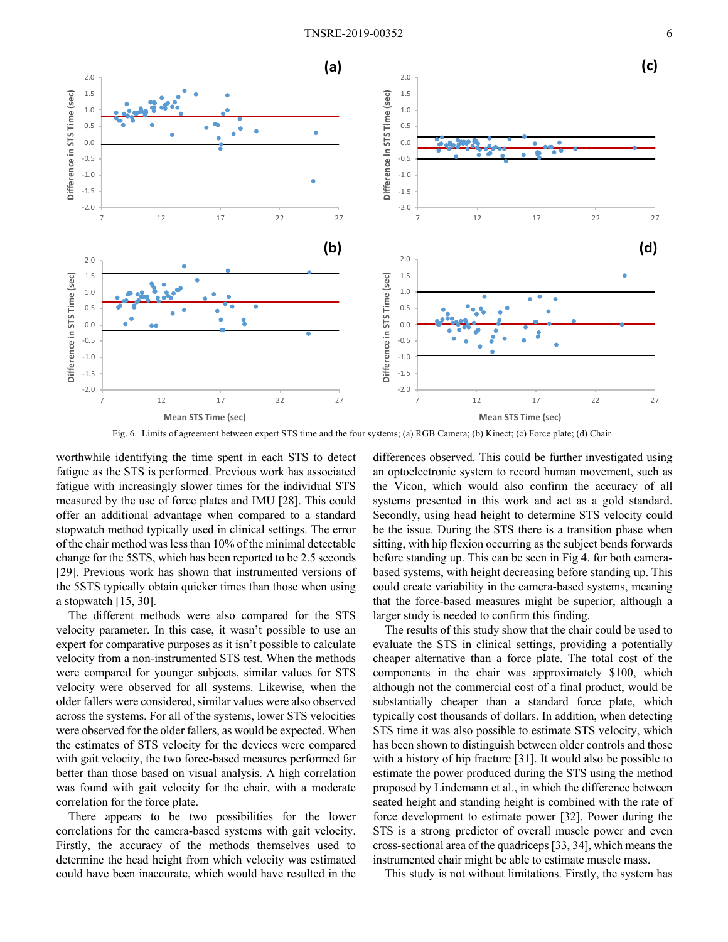

Fig. 6. Limits of agreement between expert STS time and the four systems; (a) RGB Camera; (b) Kinect; (c) Force plate; (d) Chair

worthwhile identifying the time spent in each STS to detect fatigue as the STS is performed. Previous work has associated fatigue with increasingly slower times for the individual STS measured by the use of force plates and IMU [28]. This could offer an additional advantage when compared to a standard stopwatch method typically used in clinical settings. The error of the chair method was less than 10% of the minimal detectable change for the 5STS, which has been reported to be 2.5 seconds [29]. Previous work has shown that instrumented versions of the 5STS typically obtain quicker times than those when using a stopwatch [15, 30].

The different methods were also compared for the STS velocity parameter. In this case, it wasn't possible to use an expert for comparative purposes as it isn't possible to calculate velocity from a non-instrumented STS test. When the methods were compared for younger subjects, similar values for STS velocity were observed for all systems. Likewise, when the older fallers were considered, similar values were also observed across the systems. For all of the systems, lower STS velocities were observed for the older fallers, as would be expected. When the estimates of STS velocity for the devices were compared with gait velocity, the two force-based measures performed far better than those based on visual analysis. A high correlation was found with gait velocity for the chair, with a moderate correlation for the force plate.

There appears to be two possibilities for the lower correlations for the camera-based systems with gait velocity. Firstly, the accuracy of the methods themselves used to determine the head height from which velocity was estimated could have been inaccurate, which would have resulted in the

differences observed. This could be further investigated using an optoelectronic system to record human movement, such as the Vicon, which would also confirm the accuracy of all systems presented in this work and act as a gold standard. Secondly, using head height to determine STS velocity could be the issue. During the STS there is a transition phase when sitting, with hip flexion occurring as the subject bends forwards before standing up. This can be seen in Fig 4. for both camerabased systems, with height decreasing before standing up. This could create variability in the camera-based systems, meaning that the force-based measures might be superior, although a larger study is needed to confirm this finding.

The results of this study show that the chair could be used to evaluate the STS in clinical settings, providing a potentially cheaper alternative than a force plate. The total cost of the components in the chair was approximately \$100, which although not the commercial cost of a final product, would be substantially cheaper than a standard force plate, which typically cost thousands of dollars. In addition, when detecting STS time it was also possible to estimate STS velocity, which has been shown to distinguish between older controls and those with a history of hip fracture [31]. It would also be possible to estimate the power produced during the STS using the method proposed by Lindemann et al., in which the difference between seated height and standing height is combined with the rate of force development to estimate power [32]. Power during the STS is a strong predictor of overall muscle power and even cross-sectional area of the quadriceps [33, 34], which means the instrumented chair might be able to estimate muscle mass.

This study is not without limitations. Firstly, the system has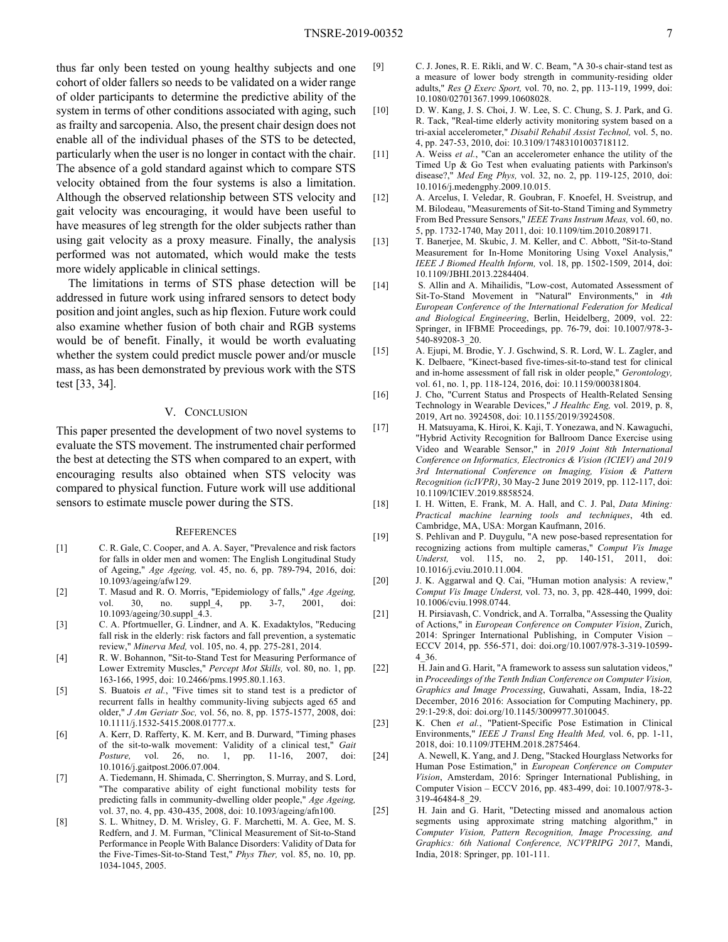thus far only been tested on young healthy subjects and one cohort of older fallers so needs to be validated on a wider range of older participants to determine the predictive ability of the system in terms of other conditions associated with aging, such as frailty and sarcopenia. Also, the present chair design does not enable all of the individual phases of the STS to be detected, particularly when the user is no longer in contact with the chair. The absence of a gold standard against which to compare STS velocity obtained from the four systems is also a limitation. Although the observed relationship between STS velocity and gait velocity was encouraging, it would have been useful to have measures of leg strength for the older subjects rather than using gait velocity as a proxy measure. Finally, the analysis performed was not automated, which would make the tests more widely applicable in clinical settings.

The limitations in terms of STS phase detection will be addressed in future work using infrared sensors to detect body position and joint angles, such as hip flexion. Future work could also examine whether fusion of both chair and RGB systems would be of benefit. Finally, it would be worth evaluating whether the system could predict muscle power and/or muscle mass, as has been demonstrated by previous work with the STS test [33, 34].

## V. CONCLUSION

This paper presented the development of two novel systems to evaluate the STS movement. The instrumented chair performed the best at detecting the STS when compared to an expert, with encouraging results also obtained when STS velocity was compared to physical function. Future work will use additional sensors to estimate muscle power during the STS.

#### **REFERENCES**

- [1] C. R. Gale, C. Cooper, and A. A. Sayer, "Prevalence and risk factors for falls in older men and women: The English Longitudinal Study of Ageing," *Age Ageing,* vol. 45, no. 6, pp. 789-794, 2016, doi: 10.1093/ageing/afw129.
- [2] T. Masud and R. O. Morris, "Epidemiology of falls," *Age Ageing,*  vol. 30, no. suppl 4, pp. 3-7, 2001, doi: 10.1093/ageing/30.suppl\_4.3.
- [3] C. A. Pfortmueller, G. Lindner, and A. K. Exadaktylos, "Reducing fall risk in the elderly: risk factors and fall prevention, a systematic review," *Minerva Med,* vol. 105, no. 4, pp. 275-281, 2014.
- [4] R. W. Bohannon, "Sit-to-Stand Test for Measuring Performance of Lower Extremity Muscles," *Percept Mot Skills,* vol. 80, no. 1, pp. 163-166, 1995, doi: 10.2466/pms.1995.80.1.163.
- [5] S. Buatois *et al.*, "Five times sit to stand test is a predictor of recurrent falls in healthy community-living subjects aged 65 and older," *J Am Geriatr Soc,* vol. 56, no. 8, pp. 1575-1577, 2008, doi: 10.1111/j.1532-5415.2008.01777.x.
- [6] A. Kerr, D. Rafferty, K. M. Kerr, and B. Durward, "Timing phases of the sit-to-walk movement: Validity of a clinical test," *Gait Posture,* vol. 26, no. 1, pp. 11-16, 2007, doi: 10.1016/j.gaitpost.2006.07.004.
- [7] A. Tiedemann, H. Shimada, C. Sherrington, S. Murray, and S. Lord, "The comparative ability of eight functional mobility tests for predicting falls in community-dwelling older people," *Age Ageing,*  vol. 37, no. 4, pp. 430-435, 2008, doi: 10.1093/ageing/afn100.
- [8] S. L. Whitney, D. M. Wrisley, G. F. Marchetti, M. A. Gee, M. S. Redfern, and J. M. Furman, "Clinical Measurement of Sit-to-Stand Performance in People With Balance Disorders: Validity of Data for the Five-Times-Sit-to-Stand Test," *Phys Ther,* vol. 85, no. 10, pp. 1034-1045, 2005.

[9] C. J. Jones, R. E. Rikli, and W. C. Beam, "A 30-s chair-stand test as a measure of lower body strength in community-residing older adults," *Res Q Exerc Sport,* vol. 70, no. 2, pp. 113-119, 1999, doi: 10.1080/02701367.1999.10608028.

- [10] D. W. Kang, J. S. Choi, J. W. Lee, S. C. Chung, S. J. Park, and G. R. Tack, "Real-time elderly activity monitoring system based on a tri-axial accelerometer," *Disabil Rehabil Assist Technol,* vol. 5, no. 4, pp. 247-53, 2010, doi: 10.3109/17483101003718112.
- [11] A. Weiss *et al.*, "Can an accelerometer enhance the utility of the Timed Up & Go Test when evaluating patients with Parkinson's disease?," *Med Eng Phys,* vol. 32, no. 2, pp. 119-125, 2010, doi: 10.1016/j.medengphy.2009.10.015.
- [12] A. Arcelus, I. Veledar, R. Goubran, F. Knoefel, H. Sveistrup, and M. Bilodeau, "Measurements of Sit-to-Stand Timing and Symmetry From Bed Pressure Sensors," *IEEE Trans Instrum Meas,* vol. 60, no. 5, pp. 1732-1740, May 2011, doi: 10.1109/tim.2010.2089171.
- [13] T. Banerjee, M. Skubic, J. M. Keller, and C. Abbott, "Sit-to-Stand Measurement for In-Home Monitoring Using Voxel Analysis," *IEEE J Biomed Health Inform,* vol. 18, pp. 1502-1509, 2014, doi: 10.1109/JBHI.2013.2284404.
- [14] S. Allin and A. Mihailidis, "Low-cost, Automated Assessment of Sit-To-Stand Movement in "Natural" Environments," in *4th European Conference of the International Federation for Medical and Biological Engineering*, Berlin, Heidelberg, 2009, vol. 22: Springer, in IFBME Proceedings, pp. 76-79, doi: 10.1007/978-3- 540-89208-3\_20.
- [15] A. Ejupi, M. Brodie, Y. J. Gschwind, S. R. Lord, W. L. Zagler, and K. Delbaere, "Kinect-based five-times-sit-to-stand test for clinical and in-home assessment of fall risk in older people," *Gerontology,*  vol. 61, no. 1, pp. 118-124, 2016, doi: 10.1159/000381804.
- [16] J. Cho, "Current Status and Prospects of Health-Related Sensing Technology in Wearable Devices," *J Healthc Eng,* vol. 2019, p. 8, 2019, Art no. 3924508, doi: 10.1155/2019/3924508.
- [17] H. Matsuyama, K. Hiroi, K. Kaji, T. Yonezawa, and N. Kawaguchi, "Hybrid Activity Recognition for Ballroom Dance Exercise using Video and Wearable Sensor," in *2019 Joint 8th International Conference on Informatics, Electronics & Vision (ICIEV) and 2019 3rd International Conference on Imaging, Vision & Pattern Recognition (icIVPR)*, 30 May-2 June 2019 2019, pp. 112-117, doi: 10.1109/ICIEV.2019.8858524.
- [18] I. H. Witten, E. Frank, M. A. Hall, and C. J. Pal, *Data Mining: Practical machine learning tools and techniques*, 4th ed. Cambridge, MA, USA: Morgan Kaufmann, 2016.
- [19] S. Pehlivan and P. Duygulu, "A new pose-based representation for recognizing actions from multiple cameras," *Comput Vis Image Underst,* vol. 115, no. 2, pp. 140-151, 2011, doi: 10.1016/j.cviu.2010.11.004.
- [20] J. K. Aggarwal and Q. Cai, "Human motion analysis: A review," *Comput Vis Image Underst,* vol. 73, no. 3, pp. 428-440, 1999, doi: 10.1006/cviu.1998.0744.
- [21] H. Pirsiavash, C. Vondrick, and A. Torralba, "Assessing the Quality of Actions," in *European Conference on Computer Vision*, Zurich, 2014: Springer International Publishing, in Computer Vision – ECCV 2014, pp. 556-571, doi: doi.org/10.1007/978-3-319-10599- 4\_36.
- [22] H. Jain and G. Harit, "A framework to assess sun salutation videos," in *Proceedings of the Tenth Indian Conference on Computer Vision, Graphics and Image Processing*, Guwahati, Assam, India, 18-22 December, 2016 2016: Association for Computing Machinery, pp. 29:1-29:8, doi: doi.org/10.1145/3009977.3010045.
- [23] K. Chen *et al.*, "Patient-Specific Pose Estimation in Clinical Environments," *IEEE J Transl Eng Health Med,* vol. 6, pp. 1-11, 2018, doi: 10.1109/JTEHM.2018.2875464.
- [24] A. Newell, K. Yang, and J. Deng, "Stacked Hourglass Networks for Human Pose Estimation," in *European Conference on Computer Vision*, Amsterdam, 2016: Springer International Publishing, in Computer Vision – ECCV 2016, pp. 483-499, doi: 10.1007/978-3- 319-46484-8\_29.
- [25] H. Jain and G. Harit, "Detecting missed and anomalous action segments using approximate string matching algorithm," in *Computer Vision, Pattern Recognition, Image Processing, and Graphics: 6th National Conference, NCVPRIPG 2017*, Mandi, India, 2018: Springer, pp. 101-111.